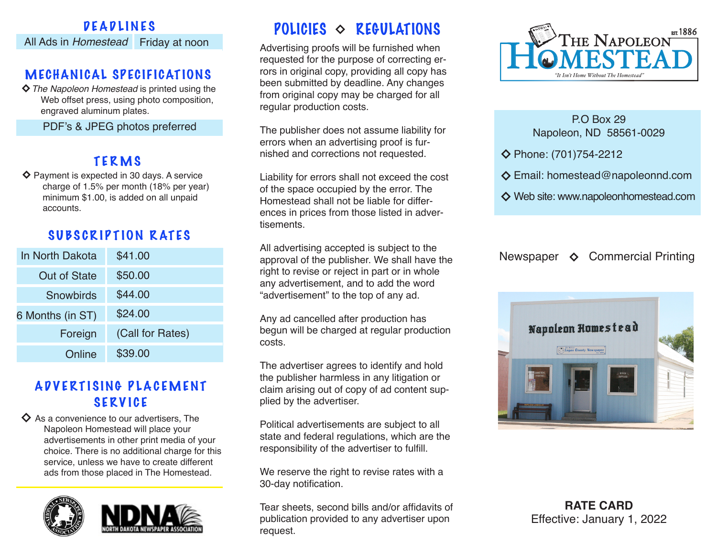#### DEADLINES All Ads in *Homestead* Friday at noon

### MECHANICAL SPECIFICATIONS

*The Napoleon Homestead* is printed using the Web offset press, using photo composition, engraved aluminum plates.

PDF's & JPEG photos preferred

# TERMS

 $\diamond$  Payment is expected in 30 days. A service charge of 1.5% per month (18% per year) minimum \$1.00, is added on all unpaid accounts.

# SUBSCRIPTION RATES

| In North Dakota     | \$41.00          |
|---------------------|------------------|
| <b>Out of State</b> | \$50.00          |
| Snowbirds           | \$44.00          |
| 6 Months (in ST)    | \$24.00          |
| Foreign             | (Call for Rates) |
| Online              | \$39.00          |

## ADVERTISING PLACEMENT SERVICE

 $\diamondsuit$  As a convenience to our advertisers. The Napoleon Homestead will place your advertisements in other print media of your choice. There is no additional charge for this service, unless we have to create different ads from those placed in The Homestead.





# POLICIES  $\Diamond$  REGULATIONS

Advertising proofs will be furnished when requested for the purpose of correcting errors in original copy, providing all copy has been submitted by deadline. Any changes from original copy may be charged for all regular production costs.

The publisher does not assume liability for errors when an advertising proof is furnished and corrections not requested.

Liability for errors shall not exceed the cost of the space occupied by the error. The Homestead shall not be liable for differences in prices from those listed in advertisements.

All advertising accepted is subject to the approval of the publisher. We shall have the right to revise or reject in part or in whole any advertisement, and to add the word "advertisement" to the top of any ad.

Any ad cancelled after production has begun will be charged at regular production costs.

The advertiser agrees to identify and hold the publisher harmless in any litigation or claim arising out of copy of ad content supplied by the advertiser.

Political advertisements are subject to all state and federal regulations, which are the responsibility of the advertiser to fulfill.

We reserve the right to revise rates with a 30-day notification.

Tear sheets, second bills and/or affidavits of publication provided to any advertiser upon request.



#### P.O Box 29 Napoleon, ND 58561-0029

Phone: (701)754-2212

- Email: homestead@napoleonnd.com
- Web site: www.napoleonhomestead.com

Newspaper  $\diamond$  Commercial Printing



**RATE CARD** Effective: January 1, 2022